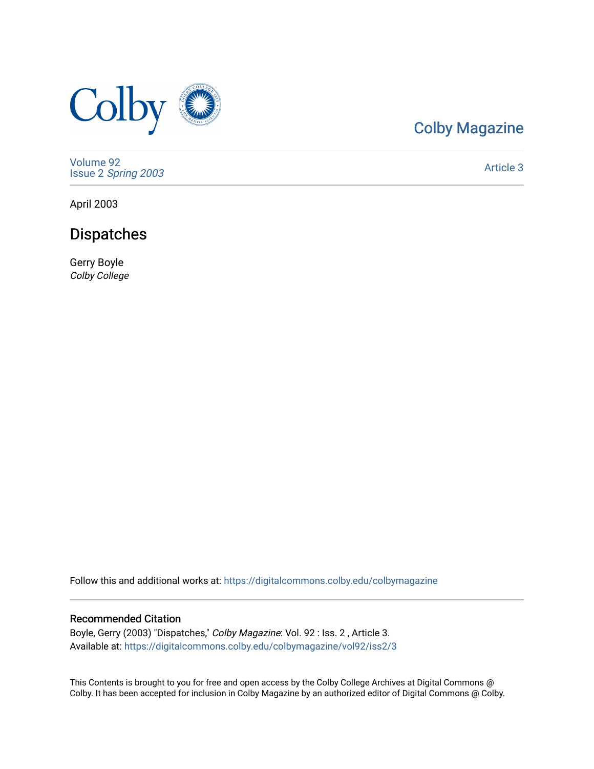

# [Colby Magazine](https://digitalcommons.colby.edu/colbymagazine)

[Volume 92](https://digitalcommons.colby.edu/colbymagazine/vol92) Issue 2 [Spring 2003](https://digitalcommons.colby.edu/colbymagazine/vol92/iss2) 

[Article 3](https://digitalcommons.colby.edu/colbymagazine/vol92/iss2/3) 

April 2003

# Dispatches

Gerry Boyle Colby College

Follow this and additional works at: [https://digitalcommons.colby.edu/colbymagazine](https://digitalcommons.colby.edu/colbymagazine?utm_source=digitalcommons.colby.edu%2Fcolbymagazine%2Fvol92%2Fiss2%2F3&utm_medium=PDF&utm_campaign=PDFCoverPages)

## Recommended Citation

Boyle, Gerry (2003) "Dispatches," Colby Magazine: Vol. 92 : Iss. 2 , Article 3. Available at: [https://digitalcommons.colby.edu/colbymagazine/vol92/iss2/3](https://digitalcommons.colby.edu/colbymagazine/vol92/iss2/3?utm_source=digitalcommons.colby.edu%2Fcolbymagazine%2Fvol92%2Fiss2%2F3&utm_medium=PDF&utm_campaign=PDFCoverPages)

This Contents is brought to you for free and open access by the Colby College Archives at Digital Commons @ Colby. It has been accepted for inclusion in Colby Magazine by an authorized editor of Digital Commons @ Colby.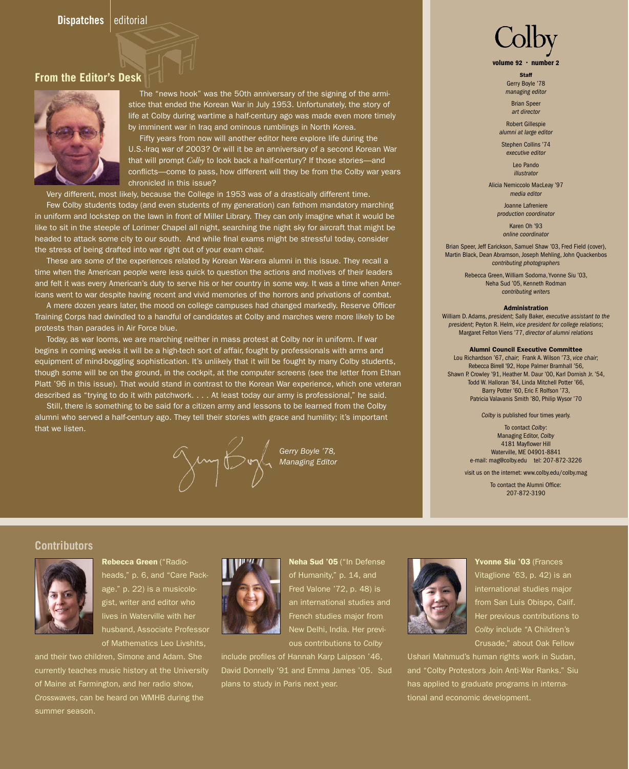## **From the Editor's Desk**



The "news hook" was the 50th anniversary of the signing of the armistice that ended the Korean War in July 1953. Unfortunately, the story of life at Colby during wartime a half-century ago was made even more timely by imminent war in Iraq and ominous rumblings in North Korea.

 Fifty years from now will another editor here explore life during the U.S.-Iraq war of 2003? Or will it be an anniversary of a second Korean War that will prompt *Colby* to look back a half-century? If those stories—and conflicts—come to pass, how different will they be from the Colby war years chronicled in this issue?

Very different, most likely, because the College in 1953 was of a drastically different time.

Few Colby students today (and even students of my generation) can fathom mandatory marching in uniform and lockstep on the lawn in front of Miller Library. They can only imagine what it would be like to sit in the steeple of Lorimer Chapel all night, searching the night sky for aircraft that might be headed to attack some city to our south. And while final exams might be stressful today, consider the stress of being drafted into war right out of your exam chair.

 These are some of the experiences related by Korean War-era alumni in this issue. They recall a time when the American people were less quick to question the actions and motives of their leaders and felt it was every American's duty to serve his or her country in some way. It was a time when Americans went to war despite having recent and vivid memories of the horrors and privations of combat.

 A mere dozen years later, the mood on college campuses had changed markedly. Reserve Officer Training Corps had dwindled to a handful of candidates at Colby and marches were more likely to be protests than parades in Air Force blue.

 Today, as war looms, we are marching neither in mass protest at Colby nor in uniform. If war begins in coming weeks it will be a high-tech sort of affair, fought by professionals with arms and equipment of mind-boggling sophistication. It's unlikely that it will be fought by many Colby students, though some will be on the ground, in the cockpit, at the computer screens (see the letter from Ethan Platt '96 in this issue). That would stand in contrast to the Korean War experience, which one veteran described as "trying to do it with patchwork. . . . At least today our army is professional," he said.

 Still, there is something to be said for a citizen army and lessons to be learned from the Colby alumni who served a half-century ago. They tell their stories with grace and humility; it's important that we listen.

 *Gerry Boyle '78,*

*Managing Editor*

# volume 92 · number 2

Staff Gerry Boyle '78

*managing editor* Brian Speer

*art director* Robert Gillespie

*alumni at large editor*

Stephen Collins '74 *executive editor*

> Leo Pando *illustrator*

Alicia Nemiccolo MacLeay '97 *media editor*

> Joanne Lafreniere *production coordinator*

> > Karen Oh '93 *online coordinator*

Brian Speer, Jeff Earickson, Samuel Shaw '03, Fred Field (cover), Martin Black, Dean Abramson, Joseph Mehling, John Quackenbos *contributing photographers*

> Rebecca Green, William Sodoma, Yvonne Siu '03, Neha Sud '05, Kenneth Rodman *contributing writers*

#### Administration

William D. Adams, *president*; Sally Baker, *executive assistant to the president*; Peyton R. Helm, *vice president for college relations*; Margaret Felton Viens '77, *director of alumni relations*

#### Alumni Council Executive Committee

Lou Richardson '67, *chair*; Frank A. Wilson '73, *vice chair*; Rebecca Birrell '92, Hope Palmer Bramhall '56, Shawn P. Crowley '91, Heather M. Daur '00, Karl Dornish Jr. '54, Todd W. Halloran '84, Linda Mitchell Potter '66, Barry Potter '60, Eric F. Rolfson '73, Patricia Valavanis Smith '80, Philip Wysor '70

#### *Colby* is published four times yearly.

To contact *Colby*: Managing Editor, *Colby* 4181 Mayflower Hill Waterville, MF 04901-8841 e-mail: mag@colby.edu tel: 207-872-3226

visit us on the internet: www.colby.edu/colby.mag

To contact the Alumni Office: 207-872-3190

#### **Contributors**



Rebecca Green ("Radioheads," p. 6, and "Care Package." p. 22) is a musicologist, writer and editor who lives in Waterville with her husband, Associate Professor of Mathematics Leo Livshits,

and their two children, Simone and Adam. She currently teaches music history at the University of Maine at Farmington, and her radio show, *Crosswaves*, can be heard on WMHB during the summer season.



Neha Sud '05 ("In Defense of Humanity," p. 14, and Fred Valone '72, p. 48) is an international studies and French studies major from New Delhi, India. Her previous contributions to *Colby*

include profiles of Hannah Karp Laipson '46, David Donnelly '91 and Emma James '05. Sud plans to study in Paris next year.



# Yvonne Siu '03 (Frances Vitaglione '63, p. 42) is an international studies major from San Luis Obispo, Calif. Her previous contributions to *Colby* include "A Children's

Crusade," about Oak Fellow

Ushari Mahmud's human rights work in Sudan, and "Colby Protestors Join Anti-War Ranks." Siu has applied to graduate programs in international and economic development.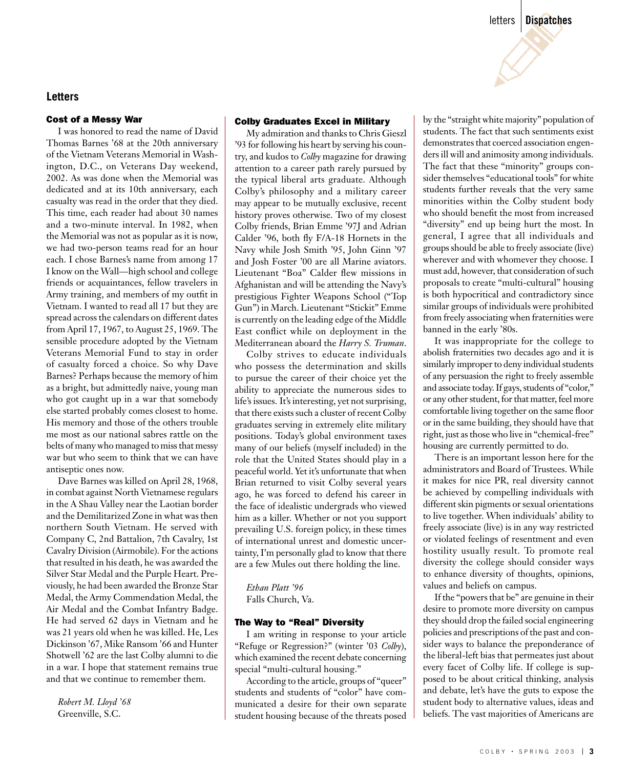#### **Letters**

#### Cost of a Messy War

 I was honored to read the name of David Thomas Barnes '68 at the 20th anniversary of the Vietnam Veterans Memorial in Washington, D.C., on Veterans Day weekend, 2002. As was done when the Memorial was dedicated and at its 10th anniversary, each casualty was read in the order that they died. This time, each reader had about 30 names and a two-minute interval. In 1982, when the Memorial was not as popular as it is now, we had two-person teams read for an hour each. I chose Barnes's name from among 17 I know on the Wall—high school and college friends or acquaintances, fellow travelers in Army training, and members of my outfit in Vietnam. I wanted to read all 17 but they are spread across the calendars on different dates from April 17, 1967, to August 25, 1969. The sensible procedure adopted by the Vietnam Veterans Memorial Fund to stay in order of casualty forced a choice. So why Dave Barnes? Perhaps because the memory of him as a bright, but admittedly naive, young man who got caught up in a war that somebody else started probably comes closest to home. His memory and those of the others trouble me most as our national sabres rattle on the belts of many who managed to miss that messy war but who seem to think that we can have antiseptic ones now.

 Dave Barnes was killed on April 28, 1968, in combat against North Vietnamese regulars in the A Shau Valley near the Laotian border and the Demilitarized Zone in what was then northern South Vietnam. He served with Company C, 2nd Battalion, 7th Cavalry, 1st Cavalry Division (Airmobile). For the actions that resulted in his death, he was awarded the Silver Star Medal and the Purple Heart. Previously, he had been awarded the Bronze Star Medal, the Army Commendation Medal, the Air Medal and the Combat Infantry Badge. He had served 62 days in Vietnam and he was 21 years old when he was killed. He, Les Dickinson '67, Mike Ransom '66 and Hunter Shotwell '62 are the last Colby alumni to die in a war. I hope that statement remains true and that we continue to remember them.

 *Robert M. Lloyd '68* Greenville, S.C.

#### Colby Graduates Excel in Military

 My admiration and thanks to Chris Gieszl '93 for following his heart by serving his country, and kudos to *Colby* magazine for drawing attention to a career path rarely pursued by the typical liberal arts graduate. Although Colby's philosophy and a military career may appear to be mutually exclusive, recent history proves otherwise. Two of my closest Colby friends, Brian Emme '97J and Adrian Calder '96, both fly F/A-18 Hornets in the Navy while Josh Smith '95, John Ginn '97 and Josh Foster '00 are all Marine aviators. Lieutenant "Boa" Calder flew missions in Afghanistan and will be attending the Navy's prestigious Fighter Weapons School ("Top Gun") in March. Lieutenant "Stickit" Emme is currently on the leading edge of the Middle East conflict while on deployment in the Mediterranean aboard the *Harry S. Truman*.

 Colby strives to educate individuals who possess the determination and skills to pursue the career of their choice yet the ability to appreciate the numerous sides to life's issues. It's interesting, yet not surprising, that there exists such a cluster of recent Colby graduates serving in extremely elite military positions. Today's global environment taxes many of our beliefs (myself included) in the role that the United States should play in a peaceful world. Yet it's unfortunate that when Brian returned to visit Colby several years ago, he was forced to defend his career in the face of idealistic undergrads who viewed him as a killer. Whether or not you support prevailing U.S. foreign policy, in these times of international unrest and domestic uncertainty, I'm personally glad to know that there are a few Mules out there holding the line.

# *Ethan Platt '96*

Falls Church, Va.

#### The Way to "Real" Diversity

 I am writing in response to your article "Refuge or Regression?" (winter '03 *Colby*), which examined the recent debate concerning special "multi-cultural housing."

 According to the article, groups of "queer" students and students of "color" have communicated a desire for their own separate student housing because of the threats posed by the "straight white majority" population of students. The fact that such sentiments exist demonstrates that coerced association engenders ill will and animosity among individuals. The fact that these "minority" groups consider themselves "educational tools" for white students further reveals that the very same minorities within the Colby student body who should benefit the most from increased "diversity" end up being hurt the most. In general, I agree that all individuals and groups should be able to freely associate (live) wherever and with whomever they choose. I must add, however, that consideration of such proposals to create "multi-cultural" housing is both hypocritical and contradictory since similar groups of individuals were prohibited from freely associating when fraternities were banned in the early '80s.

 It was inappropriate for the college to abolish fraternities two decades ago and it is similarly improper to deny individual students of any persuasion the right to freely assemble and associate today. If gays, students of "color," or any other student, for that matter, feel more comfortable living together on the same floor or in the same building, they should have that right, just as those who live in "chemical-free" housing are currently permitted to do.

 There is an important lesson here for the administrators and Board of Trustees. While it makes for nice PR, real diversity cannot be achieved by compelling individuals with different skin pigments or sexual orientations to live together. When individuals' ability to freely associate (live) is in any way restricted or violated feelings of resentment and even hostility usually result. To promote real diversity the college should consider ways to enhance diversity of thoughts, opinions, values and beliefs on campus.

 If the "powers that be" are genuine in their desire to promote more diversity on campus they should drop the failed social engineering policies and prescriptions of the past and consider ways to balance the preponderance of the liberal-left bias that permeates just about every facet of Colby life. If college is supposed to be about critical thinking, analysis and debate, let's have the guts to expose the student body to alternative values, ideas and beliefs. The vast majorities of Americans are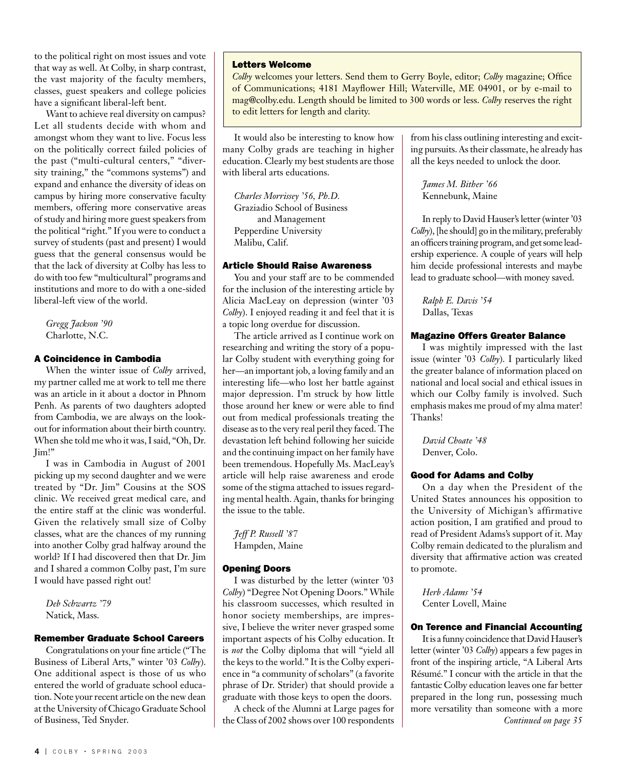to the political right on most issues and vote that way as well. At Colby, in sharp contrast, the vast majority of the faculty members, classes, guest speakers and college policies have a significant liberal-left bent.

 Want to achieve real diversity on campus? Let all students decide with whom and amongst whom they want to live. Focus less on the politically correct failed policies of the past ("multi-cultural centers," "diversity training," the "commons systems") and expand and enhance the diversity of ideas on campus by hiring more conservative faculty members, offering more conservative areas of study and hiring more guest speakers from the political "right." If you were to conduct a survey of students (past and present) I would guess that the general consensus would be that the lack of diversity at Colby has less to do with too few "multicultural" programs and institutions and more to do with a one-sided liberal-left view of the world.

 *Gregg Jackson '90* Charlotte, N.C.

#### A Coincidence in Cambodia

 When the winter issue of *Colby* arrived, my partner called me at work to tell me there was an article in it about a doctor in Phnom Penh. As parents of two daughters adopted from Cambodia, we are always on the lookout for information about their birth country. When she told me who it was, I said, "Oh, Dr. Jim!"

 I was in Cambodia in August of 2001 picking up my second daughter and we were treated by "Dr. Jim" Cousins at the SOS clinic. We received great medical care, and the entire staff at the clinic was wonderful. Given the relatively small size of Colby classes, what are the chances of my running into another Colby grad halfway around the world? If I had discovered then that Dr. Jim and I shared a common Colby past, I'm sure I would have passed right out!

 *Deb Schwartz '79* Natick, Mass.

#### Remember Graduate School Careers

 Congratulations on your fine article ("The Business of Liberal Arts," winter '03 *Colby*). One additional aspect is those of us who entered the world of graduate school education. Note your recent article on the new dean at the University of Chicago Graduate School of Business, Ted Snyder.

#### Letters Welcome

*Colby* welcomes your letters. Send them to Gerry Boyle, editor; *Colby* magazine; Office of Communications; 4181 Mayflower Hill; Waterville, ME 04901, or by e-mail to mag@colby.edu. Length should be limited to 300 words or less. *Colby* reserves the right to edit letters for length and clarity.

 It would also be interesting to know how many Colby grads are teaching in higher education. Clearly my best students are those with liberal arts educations.

 *Charles Morrissey '56, Ph.D.*  Graziadio School of Business and Management Pepperdine University Malibu, Calif.

#### Article Should Raise Awareness

 You and your staff are to be commended for the inclusion of the interesting article by Alicia MacLeay on depression (winter '03 *Colby*). I enjoyed reading it and feel that it is a topic long overdue for discussion.

 The article arrived as I continue work on researching and writing the story of a popular Colby student with everything going for her—an important job, a loving family and an interesting life—who lost her battle against major depression. I'm struck by how little those around her knew or were able to find out from medical professionals treating the disease as to the very real peril they faced. The devastation left behind following her suicide and the continuing impact on her family have been tremendous. Hopefully Ms. MacLeay's article will help raise awareness and erode some of the stigma attached to issues regarding mental health. Again, thanks for bringing the issue to the table.

 *Jeff P. Russell '87* Hampden, Maine

#### Opening Doors

 I was disturbed by the letter (winter '03 *Colby*) "Degree Not Opening Doors." While his classroom successes, which resulted in honor society memberships, are impressive, I believe the writer never grasped some important aspects of his Colby education. It is *not* the Colby diploma that will "yield all the keys to the world." It is the Colby experience in "a community of scholars" (a favorite phrase of Dr. Strider) that should provide a graduate with those keys to open the doors.

 A check of the Alumni at Large pages for the Class of 2002 shows over 100 respondents from his class outlining interesting and exciting pursuits. As their classmate, he already has all the keys needed to unlock the door.

 *James M. Bither '66* Kennebunk, Maine

 In reply to David Hauser's letter (winter '03 *Colby*), [he should] go in the military, preferably an officers training program, and get some leadership experience. A couple of years will help him decide professional interests and maybe lead to graduate school—with money saved.

 *Ralph E. Davis '54* Dallas, Texas

#### Magazine Offers Greater Balance

 I was mightily impressed with the last issue (winter '03 *Colby*). I particularly liked the greater balance of information placed on national and local social and ethical issues in which our Colby family is involved. Such emphasis makes me proud of my alma mater! Thanks!

 *David Choate '48* Denver, Colo.

#### Good for Adams and Colby

 On a day when the President of the United States announces his opposition to the University of Michigan's affirmative action position, I am gratified and proud to read of President Adams's support of it. May Colby remain dedicated to the pluralism and diversity that affirmative action was created to promote.

 *Herb Adams '54* Center Lovell, Maine

#### On Terence and Financial Accounting

 It is a funny coincidence that David Hauser's letter (winter '03 *Colby*) appears a few pages in front of the inspiring article, "A Liberal Arts Résumé." I concur with the article in that the fantastic Colby education leaves one far better prepared in the long run, possessing much more versatility than someone with a more *Continued on page 35*